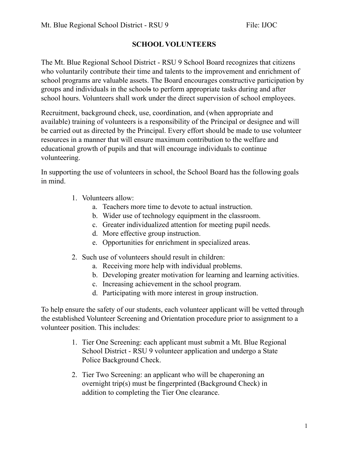## **SCHOOL VOLUNTEERS**

The Mt. Blue Regional School District - RSU 9 School Board recognizes that citizens who voluntarily contribute their time and talents to the improvement and enrichment of school programs are valuable assets. The Board encourages constructive participation by groups and individuals in the schools to perform appropriate tasks during and after school hours. Volunteers shall work under the direct supervision of school employees.

Recruitment, background check, use, coordination, and (when appropriate and available) training of volunteers is a responsibility of the Principal or designee and will be carried out as directed by the Principal. Every effort should be made to use volunteer resources in a manner that will ensure maximum contribution to the welfare and educational growth of pupils and that will encourage individuals to continue volunteering.

In supporting the use of volunteers in school, the School Board has the following goals in mind.

- 1. Volunteers allow:
	- a. Teachers more time to devote to actual instruction.
	- b. Wider use of technology equipment in the classroom.
	- c. Greater individualized attention for meeting pupil needs.
	- d. More effective group instruction.
	- e. Opportunities for enrichment in specialized areas.
- 2. Such use of volunteers should result in children:
	- a. Receiving more help with individual problems.
	- b. Developing greater motivation for learning and learning activities.
	- c. Increasing achievement in the school program.
	- d. Participating with more interest in group instruction.

To help ensure the safety of our students, each volunteer applicant will be vetted through the established Volunteer Screening and Orientation procedure prior to assignment to a volunteer position. This includes:

- 1. Tier One Screening: each applicant must submit a Mt. Blue Regional School District - RSU 9 volunteer application and undergo a State Police Background Check.
- 2. Tier Two Screening: an applicant who will be chaperoning an overnight trip(s) must be fingerprinted (Background Check) in addition to completing the Tier One clearance.